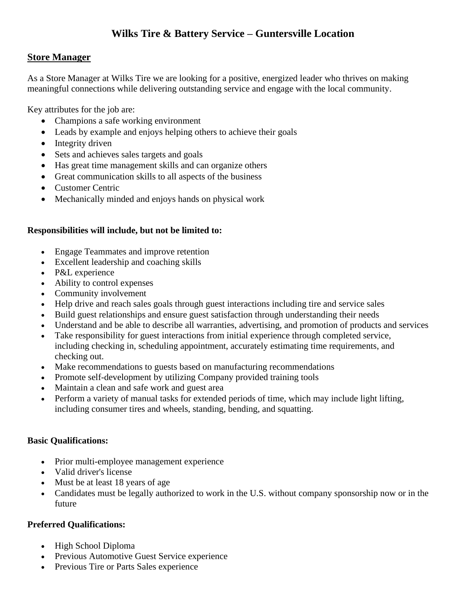# **Wilks Tire & Battery Service – Guntersville Location**

# **Store Manager**

As a Store Manager at Wilks Tire we are looking for a positive, energized leader who thrives on making meaningful connections while delivering outstanding service and engage with the local community.

Key attributes for the job are:

- Champions a safe working environment
- Leads by example and enjoys helping others to achieve their goals
- Integrity driven
- Sets and achieves sales targets and goals
- Has great time management skills and can organize others
- Great communication skills to all aspects of the business
- Customer Centric
- Mechanically minded and enjoys hands on physical work

# **Responsibilities will include, but not be limited to:**

- Engage Teammates and improve retention
- Excellent leadership and coaching skills
- P&L experience
- Ability to control expenses
- Community involvement
- Help drive and reach sales goals through guest interactions including tire and service sales
- Build guest relationships and ensure guest satisfaction through understanding their needs
- Understand and be able to describe all warranties, advertising, and promotion of products and services
- Take responsibility for guest interactions from initial experience through completed service, including checking in, scheduling appointment, accurately estimating time requirements, and checking out.
- Make recommendations to guests based on manufacturing recommendations
- Promote self-development by utilizing Company provided training tools
- Maintain a clean and safe work and guest area
- Perform a variety of manual tasks for extended periods of time, which may include light lifting, including consumer tires and wheels, standing, bending, and squatting.

#### **Basic Qualifications:**

- Prior multi-employee management experience
- Valid driver's license
- Must be at least 18 years of age
- Candidates must be legally authorized to work in the U.S. without company sponsorship now or in the future

#### **Preferred Qualifications:**

- High School Diploma
- Previous Automotive Guest Service experience
- Previous Tire or Parts Sales experience